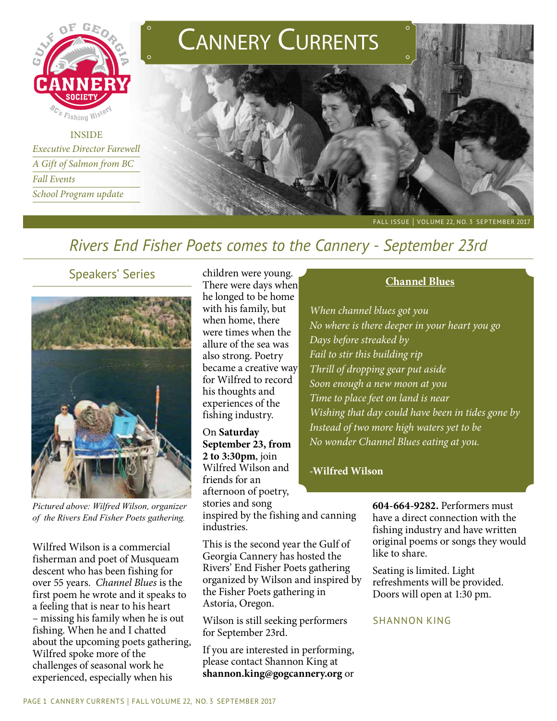

**INSIDE** *Executive Director Farewell A Gift of Salmon from BC Fall Events School Program update*



# *Rivers End Fisher Poets comes to the Cannery - September 23rd*

### Speakers' Series



*Pictured above: Wilfred Wilson, organizer of the Rivers End Fisher Poets gathering.* 

Wilfred Wilson is a commercial fisherman and poet of Musqueam descent who has been fishing for over 55 years. *Channel Blues* is the first poem he wrote and it speaks to a feeling that is near to his heart – missing his family when he is out fishing. When he and I chatted about the upcoming poets gathering, Wilfred spoke more of the challenges of seasonal work he experienced, especially when his

children were young. There were days when he longed to be home with his family, but when home, there were times when the allure of the sea was also strong. Poetry became a creative way for Wilfred to record his thoughts and experiences of the fishing industry.

On **Saturday September 23, from 2 to 3:30pm**, join Wilfred Wilson and friends for an afternoon of poetry, stories and song

inspired by the fishing and canning industries.

This is the second year the Gulf of Georgia Cannery has hosted the Rivers' End Fisher Poets gathering organized by Wilson and inspired by the Fisher Poets gathering in Astoria, Oregon.

Wilson is still seeking performers for September 23rd.

If you are interested in performing, please contact Shannon King at **shannon.king@gogcannery.org** or

#### **Channel Blues**

*When channel blues got you No where is there deeper in your heart you go Days before streaked by Fail to stir this building rip Thrill of dropping gear put aside Soon enough a new moon at you Time to place feet on land is near Wishing that day could have been in tides gone by Instead of two more high waters yet to be No wonder Channel Blues eating at you.*

#### **-Wilfred Wilson**

**604-664-9282.** Performers must have a direct connection with the fishing industry and have written original poems or songs they would like to share.

Seating is limited. Light refreshments will be provided. Doors will open at 1:30 pm.

#### shannon king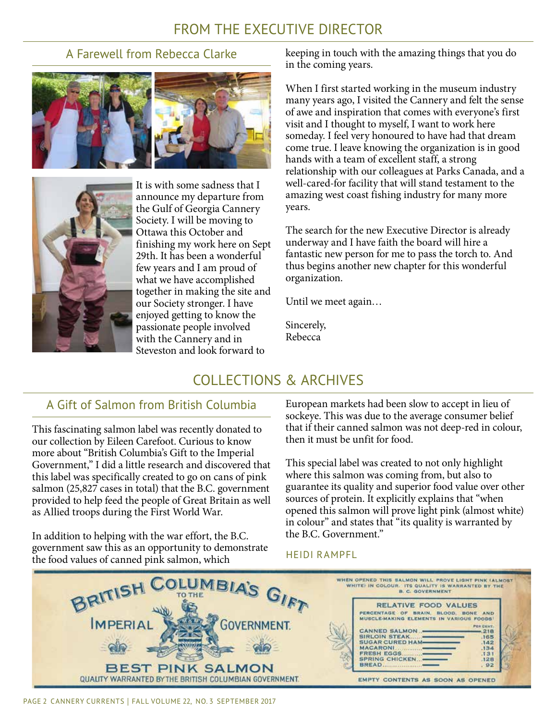# FROM THE EXECUTIVE DIRECTOR

## A Farewell from Rebecca Clarke





It is with some sadness that I announce my departure from the Gulf of Georgia Cannery Society. I will be moving to Ottawa this October and finishing my work here on Sept 29th. It has been a wonderful few years and I am proud of what we have accomplished together in making the site and our Society stronger. I have enjoyed getting to know the passionate people involved with the Cannery and in Steveston and look forward to

keeping in touch with the amazing things that you do in the coming years.

When I first started working in the museum industry many years ago, I visited the Cannery and felt the sense of awe and inspiration that comes with everyone's first visit and I thought to myself, I want to work here someday. I feel very honoured to have had that dream come true. I leave knowing the organization is in good hands with a team of excellent staff, a strong relationship with our colleagues at Parks Canada, and a well-cared-for facility that will stand testament to the amazing west coast fishing industry for many more years.

The search for the new Executive Director is already underway and I have faith the board will hire a fantastic new person for me to pass the torch to. And thus begins another new chapter for this wonderful organization.

Until we meet again…

Sincerely, Rebecca

# COLLECTIONS & ARCHIVES

## A Gift of Salmon from British Columbia

This fascinating salmon label was recently donated to our collection by Eileen Carefoot. Curious to know more about "British Columbia's Gift to the Imperial Government," I did a little research and discovered that this label was specifically created to go on cans of pink salmon (25,827 cases in total) that the B.C. government provided to help feed the people of Great Britain as well as Allied troops during the First World War.

In addition to helping with the war effort, the B.C. government saw this as an opportunity to demonstrate the food values of canned pink salmon, which

European markets had been slow to accept in lieu of sockeye. This was due to the average consumer belief that if their canned salmon was not deep-red in colour, then it must be unfit for food.

This special label was created to not only highlight where this salmon was coming from, but also to guarantee its quality and superior food value over other sources of protein. It explicitly explains that "when opened this salmon will prove light pink (almost white) in colour" and states that "its quality is warranted by the B.C. Government."

#### heidi rampfl

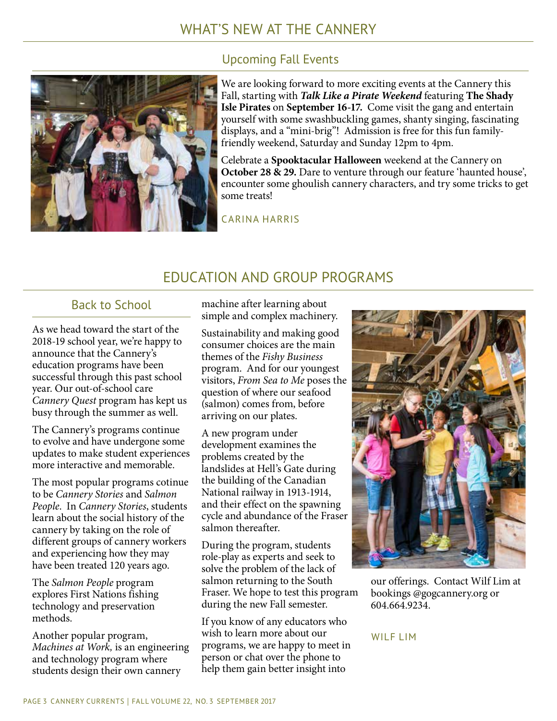## Upcoming Fall Events



We are looking forward to more exciting events at the Cannery this Fall, starting with *Talk Like a Pirate Weekend* featuring **The Shady Isle Pirates** on **September 16-17.** Come visit the gang and entertain yourself with some swashbuckling games, shanty singing, fascinating displays, and a "mini-brig"! Admission is free for this fun familyfriendly weekend, Saturday and Sunday 12pm to 4pm.

Celebrate a **Spooktacular Halloween** weekend at the Cannery on **October 28 & 29.** Dare to venture through our feature 'haunted house', encounter some ghoulish cannery characters, and try some tricks to get some treats!

CARINA HARRIS

## EDUCATION AND GROUP PROGRAMS

## Back to School

As we head toward the start of the 2018-19 school year, we're happy to announce that the Cannery's education programs have been successful through this past school year. Our out-of-school care *Cannery Quest* program has kept us busy through the summer as well.

The Cannery's programs continue to evolve and have undergone some updates to make student experiences more interactive and memorable.

The most popular programs cotinue to be *Cannery Stories* and *Salmon People*. In *Cannery Stories*, students learn about the social history of the cannery by taking on the role of different groups of cannery workers and experiencing how they may have been treated 120 years ago.

The *Salmon People* program explores First Nations fishing technology and preservation methods.

Another popular program, *Machines at Work,* is an engineering and technology program where students design their own cannery

machine after learning about simple and complex machinery.

Sustainability and making good consumer choices are the main themes of the *Fishy Business*  program. And for our youngest visitors, *From Sea to Me* poses the question of where our seafood (salmon) comes from, before arriving on our plates.

A new program under development examines the problems created by the landslides at Hell's Gate during the building of the Canadian National railway in 1913-1914, and their effect on the spawning cycle and abundance of the Fraser salmon thereafter.

During the program, students role-play as experts and seek to solve the problem of the lack of salmon returning to the South Fraser. We hope to test this program during the new Fall semester.

If you know of any educators who wish to learn more about our programs, we are happy to meet in person or chat over the phone to help them gain better insight into



our offerings. Contact Wilf Lim at bookings @gogcannery.org or 604.664.9234.

#### WILF LIM